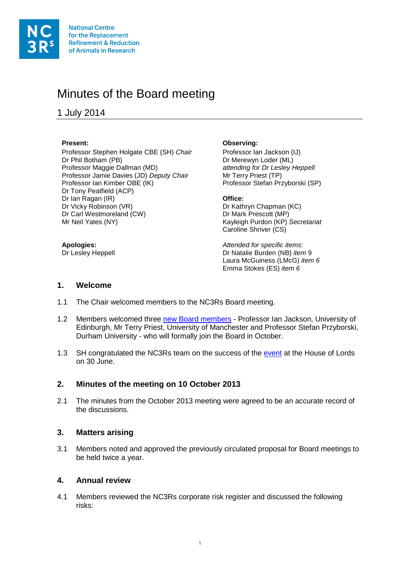

# Minutes of the Board meeting

1 July 2014

Professor Stephen Holgate CBE (SH) *Chair* Professor Ian Jackson (IJ)<br>Dr Phil Botham (PB) **Professor Ian Acceptance CIS** Dr Merewyn Loder (ML) Professor Maggie Dallman (MD) Professor Jamie Davies (JD) *Deputy Chair* Mr Terry Priest (TP)<br>Professor Ian Kimber OBE (IK) Professor Stefan Pra Dr Tony Peatfield (ACP) Dr Ian Ragan (IR) **Office:**<br>
Dr Vicky Robinson (VR) **Dr** Vicky Dr Kath Dr Carl Westmoreland (CW) Dr Mark Prescott (MP) Mr Neil Yates (NY) **Kayleigh Purdon (KP)** *Secretariat* 

#### **Present: Observing:**

Dr Merewyn Loder (ML)<br>attending for Dr Lesley Heppell Professor Stefan Przyborski (SP)

Dr Kathryn Chapman (KC) Caroline Shriver (CS)

**Apologies:** *Attended for specific items:* Dr Natalie Burden (NB) *item* 9 Laura McGuiness (LMcG) *item 6* Emma Stokes (ES) *item 6*

### **1. Welcome**

- 1.1 The Chair welcomed members to the NC3Rs Board meeting.
- 1.2 Members welcomed three [new Board members](http://www.nc3rs.org.uk/news/new-board-members-announced-0) Professor Ian Jackson, University of Edinburgh, Mr Terry Priest, University of Manchester and Professor Stefan Przyborski, Durham University - who will formally join the Board in October.
- 1.3 SH congratulated the NC3Rs team on the success of the [event](http://www.nc3rs.org.uk/events/nc3rs-parliamentary-event) at the House of Lords on 30 June.

# **2. Minutes of the meeting on 10 October 2013**

2.1 The minutes from the October 2013 meeting were agreed to be an accurate record of the discussions.

# **3. Matters arising**

3.1 Members noted and approved the previously circulated proposal for Board meetings to be held twice a year.

### **4. Annual review**

4.1 Members reviewed the NC3Rs corporate risk register and discussed the following risks: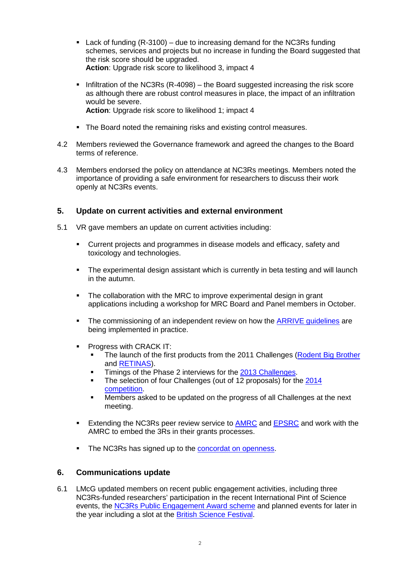- **Lack of funding**  $(R-3100)$  **due to increasing demand for the NC3Rs funding** schemes, services and projects but no increase in funding the Board suggested that the risk score should be upgraded. **Action**: Upgrade risk score to likelihood 3, impact 4
- Infiltration of the NC3Rs (R-4098) the Board suggested increasing the risk score as although there are robust control measures in place, the impact of an infiltration would be severe. **Action**: Upgrade risk score to likelihood 1; impact 4
- The Board noted the remaining risks and existing control measures.
- 4.2 Members reviewed the Governance framework and agreed the changes to the Board terms of reference.
- 4.3 Members endorsed the policy on attendance at NC3Rs meetings. Members noted the importance of providing a safe environment for researchers to discuss their work openly at NC3Rs events.

# **5. Update on current activities and external environment**

- 5.1 VR gave members an update on current activities including:
	- Current projects and programmes in disease models and efficacy, safety and toxicology and technologies.
	- The experimental design assistant which is currently in beta testing and will launch in the autumn.
	- The collaboration with the MRC to improve experimental design in grant applications including a workshop for MRC Board and Panel members in October.
	- The commissioning of an independent review on how the [ARRIVE guidelines](http://www.nc3rs.org.uk/arrive-guidelines) are being implemented in practice.
	- **Progress with CRACK IT:** 
		- The launch of the first products from the 2011 Challenges [\(Rodent Big Brother](http://www.crackit.org.uk/challenge-3-rodent-big-brother) and [RETINAS\)](http://www.crackit.org.uk/challenge-11-retinas).
		- Timings of the Phase 2 interviews for the [2013 Challenges.](http://www.crackit.org.uk/crackit-news/2013-challenges-competition-now-open)<br>The selection of four Challenges (out of 12 proposals) for the
		- The selection of four Challenges (out of 12 proposals) for the [2014](http://www.crackit.org.uk/news/2014-crack-it-challenges-announced)  [competition.](http://www.crackit.org.uk/news/2014-crack-it-challenges-announced)
		- **Members asked to be updated on the progress of all Challenges at the next** meeting.
	- **Extending the NC3Rs peer review service to [AMRC](http://www.amrc.org.uk/) and [EPSRC](http://www.epsrc.ac.uk/) and work with the** AMRC to embed the 3Rs in their grants processes.
	- The NC3Rs has signed up to the [concordat on openness.](http://www.nc3rs.org.uk/news/importance-transparency-research-using-animals)

# **6. Communications update**

6.1 LMcG updated members on recent public engagement activities, including three NC3Rs-funded researchers' participation in the recent International Pint of Science events, the [NC3Rs Public Engagement Award scheme](http://www.nc3rs.org.uk/public-engagement-awards) and planned events for later in the year including a slot at the [British Science Festival.](http://www.britishscienceassociation.org/british-science-festival/big-brother-keeping-watchful-eye-animal-behaviour)